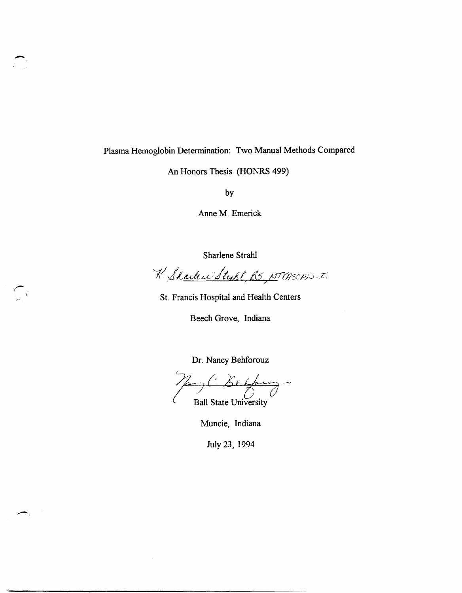## Plasma Hemoglobin Determination: Two Manual Methods Compared

-

 $\leftarrow$ 

An Honors Thesis (HONRS 499)

by

Anne M. Emerick

Sharlene Strahl

K Sharlen Strahl, B.S., MT (ASCP) S.I.

St. Francis Hospital and Health Centers

Beech Grove, Indiana

Dr. Nancy Behforouz

 $\gamma_{\mu\nu\gamma}$  ('Be Having'

Ball State University

Muncie, Indiana

July 23, 1994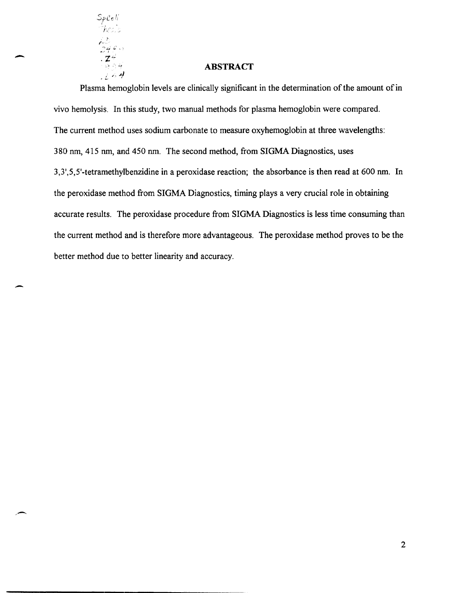

-

-

#### **ABSTRACT**

Plasma hemoglobin levels are clinically significant in the determination of the amount of in vivo hemolysis. In this study, two manual methods for plasma hemoglobin were compared. The current method uses sodium carbonate to measure oxyhemoglobin at three wavelengths: 380 nm, 415 nm, and 450 nm. The second method, from SIGMA Diagnostics, uses 3,3',5,5'-tetramethylbenzidine in a peroxidase reaction; the absorbance is then read at 600 nm. In the peroxidase method from SIGMA Diagnostics, timing plays a very crucial role in obtaining accurate results. The peroxidase procedure from SIGMA Diagnostics is less time consuming than the current method and is therefore more advantageous. The peroxidase method proves to be the better method due to better linearity and accuracy.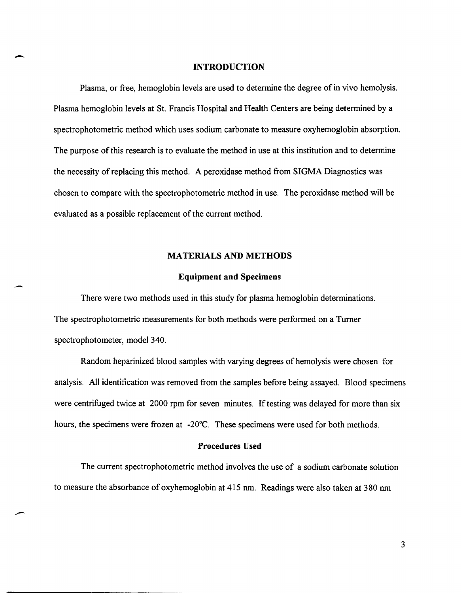#### **INTRODUCTION**

-

--

Plasma, or free, hemoglobin levels are used to determine the degree of in vivo hemolysis. Plasma hemoglobin levels at St. Francis Hospital and Health Centers are being determined by a spectrophotometric method which uses sodium carbonate to measure oxyhemoglobin absorption. The purpose of this research is to evaluate the method in use at this institution and to determine the necessity of replacing this method. A peroxidase method from SIGMA Diagnostics was chosen to compare with the spectrophotometric method in use. The peroxidase method will be evaluated as a possible replacement of the current method.

#### **MATERIALS AND METHODS**

#### **Equipment and Specimens**

There were two methods used in this study for plasma hemoglobin determinations. The spectrophotometric measurements for both methods were performed on a Turner spectrophotometer, model 340.

Random heparinized blood samples with varying degrees of hemolysis were chosen for analysis. All identification was removed from the samples before being assayed. Blood specimens were centrifuged twice at 2000 rpm for seven minutes. If testing was delayed for more than six hours, the specimens were frozen at -20°C. These specimens were used for both methods.

#### **Procedures Used**

The current spectrophotometric method involves the use of a sodium carbonate solution to measure the absorbance of oxyhemoglobin at 415 nm. Readings were also taken at 380 nm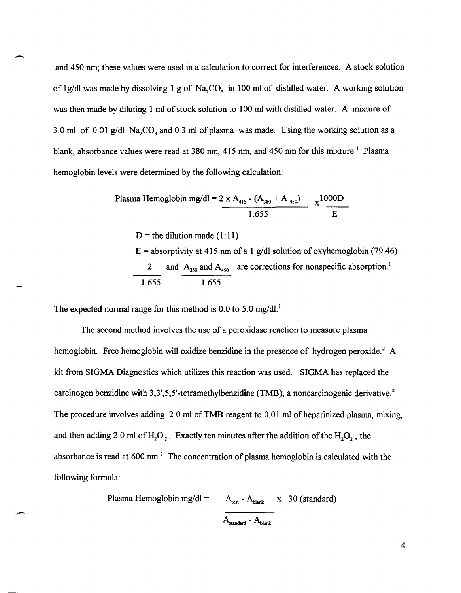and 450 nm; these values were used in a calculation to correct for interferences. A stock solution of 1g/dl was made by dissolving 1 g of Na<sub>2</sub>CO<sub>3</sub> in 100 ml of distilled water. A working solution was then made by diluting 1 ml of stock solution to 100 ml with distilled water. A mixture of 3.0 ml of 0.01 g/dl Na<sub>c</sub>CO<sub>3</sub> and 0.3 ml of plasma was made. Using the working solution as a blank, absorbance values were read at 380 nm, 415 nm, and 450 nm for this mixture.<sup>1</sup> Plasma hemoglobin levels were determined by the following calculation:

> Plasma Hemoglobin mg/dl = 2 x A<sub>415</sub> - (A<sub>380</sub> + A <sub>450</sub>)  $\chi$ 1000D 1.655 E

 $D$  = the dilution made (1:11)

 $E =$  absorptivity at 415 nm of a 1 g/dl solution of oxyhemoglobin (79.46) and  $A_{350}$  and  $A_{450}$  are corrections for nonspecific absorption.<sup>1</sup> 1.655 1.655

The expected normal range for this method is  $0.0$  to  $5.0$  mg/dl.<sup>1</sup>

The second method involves the use of a peroxidase reaction to measure plasma hemoglobin. Free hemoglobin will oxidize benzidine in the presence of hydrogen peroxide.<sup>2</sup> A kit from SIGMA Diagnostics which utilizes this reaction was used. SIGMA has replaced the carcinogen benzidine with 3,3',5,5'-tetramethylbenzidine (TMB), a noncarcinogenic derivative.<sup>2</sup> The procedure involves adding  $2.0$  ml of TMB reagent to  $0.01$  ml of heparinized plasma, mixing, and then adding 2.0 ml of  $H_2O_2$ . Exactly ten minutes after the addition of the  $H_2O_2$ , the absorbance is read at 600 nm.<sup>2</sup> The concentration of plasma hemoglobin is calculated with the following formula:

Plasma Hemoglobin mg/dl = 
$$
A_{test} - A_{blank} \times 30
$$
 (standard)  
 $A_{standard} - A_{blank}$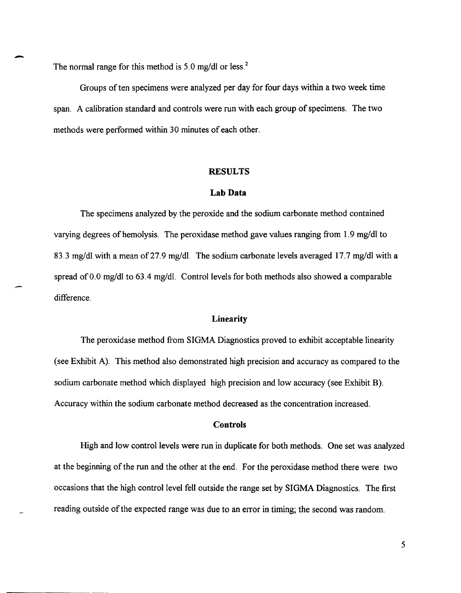The normal range for this method is 5.0 mg/dl or less.<sup>2</sup>

Groups of ten specimens were analyzed per day for four days within a two week time span. A calibration standard and controls were run with each group of specimens. The two methods were performed within 30 minutes of each other.

#### **RESULTS**

#### **Lab Data**

The specimens analyzed by the peroxide and the sodium carbonate method contained varying degrees of hemolysis. The peroxidase method gave values ranging from 1.9 mg/dl to 83.3 mg/dl with a mean of 27.9 mg/dl. The sodium carbonate levels averaged 17.7 mg/dl with a spread of 0.0 mg/dl to 63.4 mg/dl. Control levels for both methods also showed a comparable difference.

#### **Linearity**

The peroxidase method from SIGMA Diagnostics proved to exhibit acceptable linearity (see Exhibit A). This method also demonstrated high precision and accuracy as compared to the sodium carbonate method which displayed high precision and low accuracy (see Exhibit B). Accuracy within the sodium carbonate method decreased as the concentration increased.

#### **Controls**

High and low control levels were run in duplicate for both methods. One set was analyzed at the beginning of the run and the other at the end. For the peroxidase method there were two occasions that the high control level fell outside the range set by SIGMA Diagnostics. The first reading outside of the expected range was due to an error in timing; the second was random.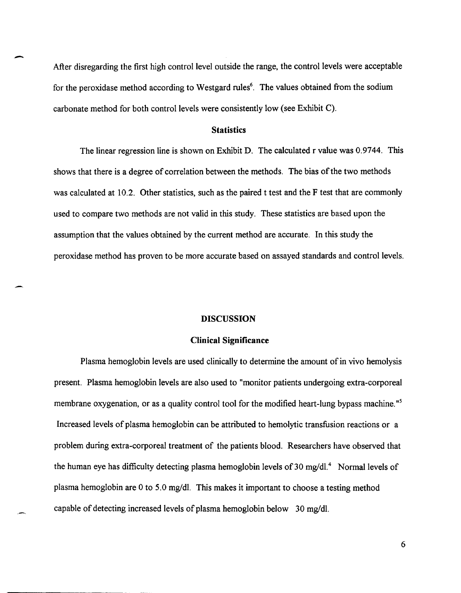After disregarding the first high control level outside the range, the control levels were acceptable for the peroxidase method according to Westgard rules<sup>6</sup>. The values obtained from the sodium carbonate method for both control levels were consistently low (see Exhibit C).

#### **Statistics**

The linear regression line is shown on Exhibit D. The calculated r value was 0.9744. This shows that there is a degree of correlation between the methods. The bias of the two methods was calculated at 10.2. Other statistics, such as the paired t test and the F test that are commonly used to compare two methods are not valid in this study. These statistics are based upon the assumption that the values obtained by the current method are accurate. In this study the peroxidase method has proven to be more accurate based on assayed standards and control levels.

#### **DISCUSSION**

#### **Clinical Significance**

Plasma hemoglobin levels are used clinically to determine the amount of in vivo hemolysis present. Plasma hemoglobin levels are also used to "monitor patients undergoing extra-corporeal membrane oxygenation, or as a quality control tool for the modified heart-lung bypass machine."<sup>5</sup> Increased levels of plasma hemoglobin can be attributed to hemolytic transfusion reactions or a problem during extra-corporeal treatment of the patients blood. Researchers have observed that the human eye has difficulty detecting plasma hemoglobin levels of 30 mg/dl.<sup>4</sup> Normal levels of plasma hemoglobin are 0 to 5.0 mg/dI. This makes it important to choose a testing method capable of detecting increased levels of plasma hemoglobin below 30 mg/dI.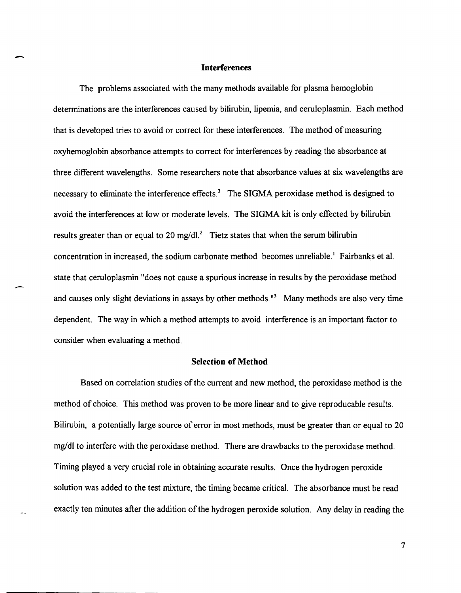#### **Interferences**

-

-

The problems associated with the many methods available for plasma hemoglobin determinations are the interferences caused by bilirubin, lipemia, and ceruloplasmin. Each method that is developed tries to avoid or correct for these interferences. The method of measuring oxyhemoglobin absorbance attempts to correct for interferences by reading the absorbance at three different wavelengths. Some researchers note that absorbance values at six wavelengths are necessary to eliminate the interference effects.<sup>3</sup> The SIGMA peroxidase method is designed to avoid the interferences at low or moderate levels. The SIGMA kit is only effected by bilirubin results greater than or equal to 20 mg/dl.<sup>2</sup> Tietz states that when the serum bilirubin concentration in increased, the sodium carbonate method becomes unreliable.) Fairbanks et aI. state that ceruloplasmin "does not cause a spurious increase in results by the peroxidase method and causes only slight deviations in assays by other methods."<sup>3</sup> Many methods are also very time dependent. The way in which a method attempts to avoid interference is an important factor to consider when evaluating a method.

#### **Selection of Method**

Based on correlation studies of the current and new method, the peroxidase method is the method of choice. This method was proven to be more linear and to give reproducable results. Bilirubin, a potentially large source of error in most methods, must be greater than or equal to 20 mg/dl to interfere with the peroxidase method. There are drawbacks to the peroxidase method. Timing played a very crucial role in obtaining accurate results. Once the hydrogen peroxide solution was added to the test mixture, the timing became critical. The absorbance must be read exactly ten minutes after the addition of the hydrogen peroxide solution. Any delay in reading the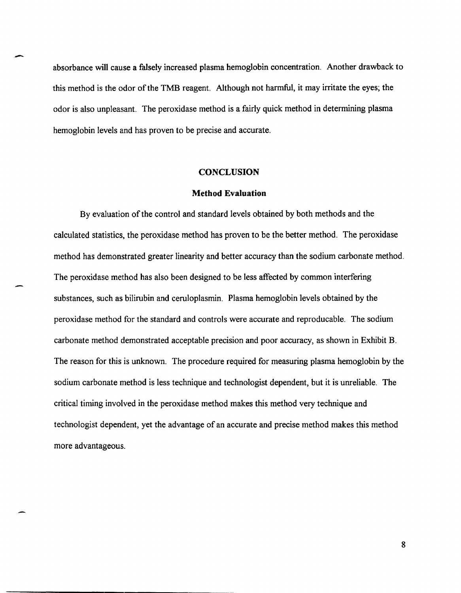absorbance will cause a falsely increased plasma hemoglobin concentration. Another drawback to this method is the odor of the TMB reagent. Although not harmful, it may irritate the eyes; the odor is also unpleasant. The peroxidase method is a fairly quick method in determining plasma hemoglobin levels and has proven to be precise and accurate.

#### **CONCLUSION**

#### **Method Evaluation**

By evaluation of the control and standard levels obtained by both methods and the calculated statistics, the peroxidase method has proven to be the better method. The peroxidase method has demonstrated greater linearity and better accuracy than the sodium carbonate method. The peroxidase method has also been designed to be less affected by common interfering substances, such as bilirubin and ceruloplasmin. Plasma hemoglobin levels obtained by the peroxidase method for the standard and controls were accurate and reproducable. The sodium carbonate method demonstrated acceptable precision and poor accuracy, as shown in Exhibit B. The reason for this is unknown. The procedure required for measuring plasma hemoglobin by the sodium carbonate method is less technique and technologist dependent, but it is unreliable. The critical timing involved in the peroxidase method makes this method very technique and technologist dependent, yet the advantage of an accurate and precise method makes this method more advantageous.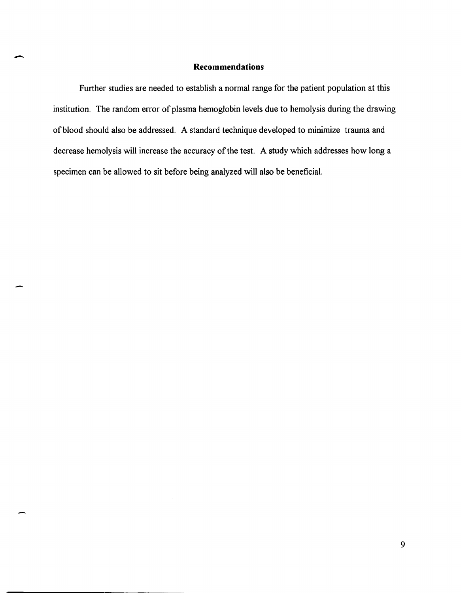# - **Recommendations**

Further studies are needed to establish a normal range for the patient population at this institution. The random error of plasma hemoglobin levels due to hemolysis during the drawing of blood should also be addressed. A standard technique developed to minimize trauma and decrease hemolysis will increase the accuracy of the test. A study which addresses how long a specimen can be allowed to sit before being analyzed will also be beneficial.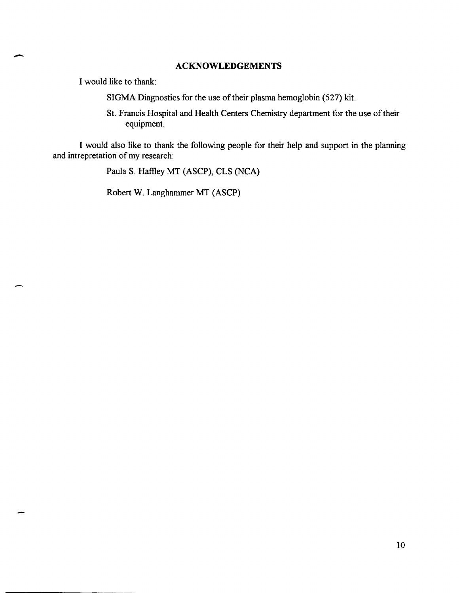#### - **ACKNOWLEDGEMENTS**

I would like to thank:

SIGMA Diagnostics for the use of their plasma hemoglobin (527) kit.

St. Francis Hospital and Health Centers Chemistry department for the use of their equipment.

I would also like to thank the following people for their help and support in the planning and intrepretation of my research:

Paula S. Haflley MT (ASCP), CLS (NCA)

Robert W. Langhammer MT (ASCP)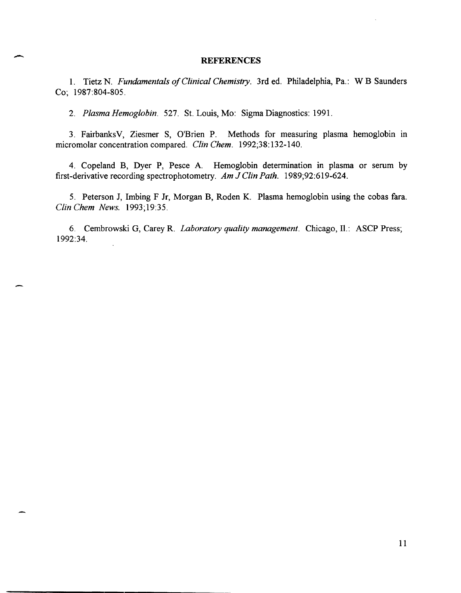#### **REFERENCES**

1. Tietz N. *Fundamentals of Clinical Chemistry.* 3rd ed. Philadelphia, Pa.: W B Saunders Co; 1987:804-805.

*2. Plasma Hemoglobin.* 527. St. Louis, Mo: Sigma Diagnostics: 1991.

3. FairbanksV, Ziesmer S, O'Brien P. Methods for measuring plasma hemoglobin In micromolar concentration compared. *Clin Chem. 1992;38:132-140.* 

4. Copeland B, Dyer P, Pesce A. Hemoglobin determination in plasma or serum by first-derivative recording spectrophotometry. *Am* J *Clin Path. 1989;92:619-624.* 

5. Peterson J, Imbing F Jr, Morgan B, Roden K. Plasma hemoglobin using the cobas fara. *Clin Chem News. 1993;19:35.* 

6. Cembrowski G, Carey R. *Laboratory quality management*. Chicago, Il.: ASCP Press; 1992:34.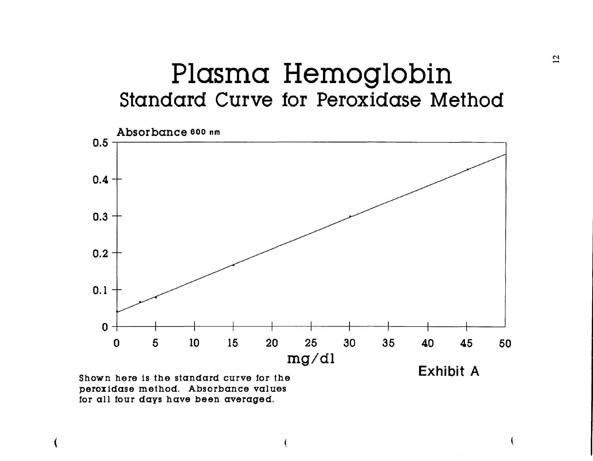## Plasma Hemoglobin Standard Curve for Peroxidase Method



(

peroxidase method. Absorbance values for all tour days have been averaged.

(

 $\mathcal{C}$ <sup>2</sup>

(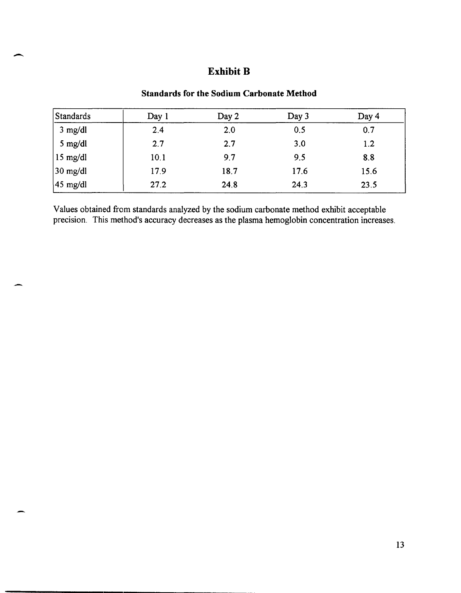# - **Exhibit B**

## **Standards for the Sodium Carbonate Method**

| <b>Standards</b>     | Day 1 | Day 2 | Day 3 | Day 4 |
|----------------------|-------|-------|-------|-------|
| $3$ mg/dl            | 2.4   | 2.0   | 0.5   | 0.7   |
| 5 mg/dl              | 2.7   | 2.7   | 3.0   | 1.2   |
| $15$ mg/dl           | 10.1  | 9.7   | 9.5   | 8.8   |
| $30$ mg/dl           | 17.9  | 18.7  | 17.6  | 15.6  |
| $ 45 \text{ mg/dl} $ | 27.2  | 24.8  | 24.3  | 23.5  |

Values obtained from standards analyzed by the sodium carbonate method exhibit acceptable precision. This method's accuracy decreases as the plasma hemoglobin concentration increases.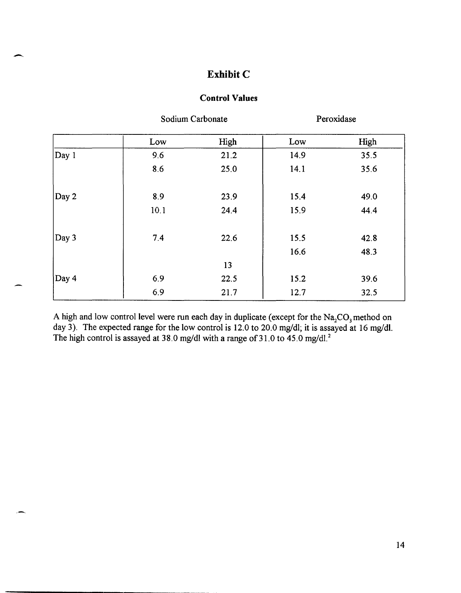### **Exhibit C**

 $\overline{\phantom{0}}$ 

#### **Control Values**

|       | Sodium Carbonate |      | Peroxidase |      |
|-------|------------------|------|------------|------|
|       | Low              | High | Low        | High |
| Day 1 | 9.6              | 21.2 | 14.9       | 35.5 |
|       | 8.6              | 25.0 | 14.1       | 35.6 |
| Day 2 | 8.9              | 23.9 | 15.4       | 49.0 |
|       | 10.1             | 24.4 | 15.9       | 44.4 |
| Day 3 | 7.4              | 22.6 | 15.5       | 42.8 |
|       |                  |      | 16.6       | 48.3 |
|       |                  | 13   |            |      |
| Day 4 | 6.9              | 22.5 | 15.2       | 39.6 |
|       | 6.9              | 21.7 | 12.7       | 32.5 |

A high and low control level were run each day in duplicate (except for the  $Na_2CO_3$  method on day 3). The expected range for the low control is 12.0 to 20.0 mg/dl; it is assayed at 16 mg/dl. The high control is assayed at 38.0 mg/dl with a range of 31.0 to 45.0 mg/dl.<sup>2</sup>